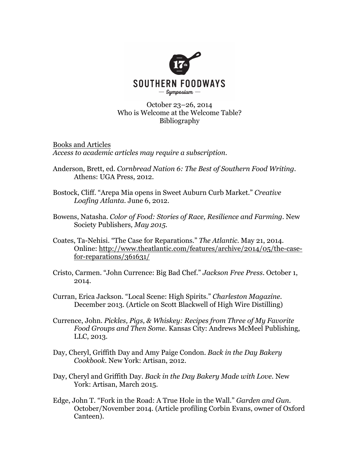

## October 23–26, 2014 Who is Welcome at the Welcome Table? Bibliography

Books and Articles *Access to academic articles may require a subscription.*

- Anderson, Brett, ed. *Cornbread Nation 6: The Best of Southern Food Writing*. Athens: UGA Press, 2012.
- Bostock, Cliff. "Arepa Mia opens in Sweet Auburn Curb Market." *Creative Loafing Atlanta.* June 6, 2012.
- Bowens, Natasha. *Color of Food: Stories of Race, Resilience and Farming.* New Society Publishers*, May 2015.*
- Coates, Ta-Nehisi. "The Case for Reparations." *The Atlantic.* May 21, 2014. Online: http://www.theatlantic.com/features/archive/2014/05/the-casefor-reparations/361631/
- Cristo, Carmen. "John Currence: Big Bad Chef." *Jackson Free Press.* October 1, 2014.
- Curran, Erica Jackson. "Local Scene: High Spirits." *Charleston Magazine.* December 2013. (Article on Scott Blackwell of High Wire Distilling)
- Currence, John. *Pickles, Pigs, & Whiskey: Recipes from Three of My Favorite Food Groups and Then Some.* Kansas City: Andrews McMeel Publishing, LLC, 2013.
- Day, Cheryl, Griffith Day and Amy Paige Condon. *Back in the Day Bakery Cookbook.* New York: Artisan, 2012.
- Day, Cheryl and Griffith Day. *Back in the Day Bakery Made with Love.* New York: Artisan, March 2015.
- Edge, John T. "Fork in the Road: A True Hole in the Wall." *Garden and Gun.* October/November 2014. (Article profiling Corbin Evans, owner of Oxford Canteen).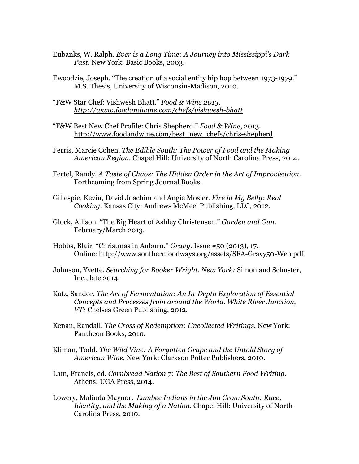- Eubanks, W. Ralph. *Ever is a Long Time: A Journey into Mississippi's Dark Past.* New York: Basic Books, 2003.
- Ewoodzie, Joseph. "The creation of a social entity hip hop between 1973-1979." M.S. Thesis, University of Wisconsin-Madison, 2010.
- "F&W Star Chef: Vishwesh Bhatt." *Food & Wine 2013. http://www.foodandwine.com/chefs/vishwesh-bhatt*
- "F&W Best New Chef Profile: Chris Shepherd." *Food & Wine*, 2013. http://www.foodandwine.com/best\_new\_chefs/chris-shepherd
- Ferris, Marcie Cohen. *The Edible South: The Power of Food and the Making American Region.* Chapel Hill: University of North Carolina Press, 2014.
- Fertel, Randy. *A Taste of Chaos: The Hidden Order in the Art of Improvisation.* Forthcoming from Spring Journal Books.
- Gillespie, Kevin, David Joachim and Angie Mosier. *Fire in My Belly: Real Cooking.* Kansas City: Andrews McMeel Publishing, LLC, 2012.
- Glock, Allison. "The Big Heart of Ashley Christensen." *Garden and Gun.*  February/March 2013.
- Hobbs, Blair. "Christmas in Auburn." *Gravy.* Issue #50 (2013), 17. Online: http://www.southernfoodways.org/assets/SFA-Gravy50-Web.pdf
- Johnson, Yvette. *Searching for Booker Wright. New York:* Simon and Schuster, Inc., late 2014.
- Katz, Sandor. *The Art of Fermentation: An In-Depth Exploration of Essential Concepts and Processes from around the World. White River Junction, VT:* Chelsea Green Publishing, 2012.
- Kenan, Randall. *The Cross of Redemption: Uncollected Writings.* New York: Pantheon Books, 2010.
- Kliman, Todd. *The Wild Vine: A Forgotten Grape and the Untold Story of American Wine.* New York: Clarkson Potter Publishers, 2010.
- Lam, Francis, ed. *Cornbread Nation 7: The Best of Southern Food Writing.*  Athens: UGA Press, 2014.
- Lowery, Malinda Maynor. *Lumbee Indians in the Jim Crow South: Race, Identity, and the Making of a Nation.* Chapel Hill: University of North Carolina Press, 2010.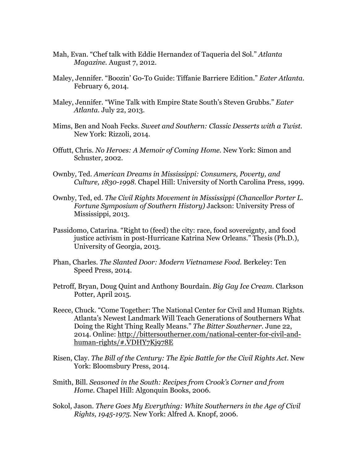- Mah, Evan. "Chef talk with Eddie Hernandez of Taqueria del Sol." *Atlanta Magazine.* August 7, 2012.
- Maley, Jennifer. "Boozin' Go-To Guide: Tiffanie Barriere Edition." *Eater Atlanta.*  February 6, 2014.
- Maley, Jennifer. "Wine Talk with Empire State South's Steven Grubbs." *Eater Atlanta.* July 22, 2013.
- Mims, Ben and Noah Fecks. *Sweet and Southern: Classic Desserts with a Twist.* New York: Rizzoli, 2014.
- Offutt, Chris. *No Heroes: A Memoir of Coming Home.* New York: Simon and Schuster, 2002.
- Ownby, Ted. *American Dreams in Mississippi: Consumers, Poverty, and Culture, 1830-1998.* Chapel Hill: University of North Carolina Press, 1999.
- Ownby, Ted, ed. *The Civil Rights Movement in Mississippi (Chancellor Porter L. Fortune Symposium of Southern History)* Jackson: University Press of Mississippi, 2013.
- Passidomo, Catarina. "Right to (feed) the city: race, food sovereignty, and food justice activism in post-Hurricane Katrina New Orleans." Thesis (Ph.D.), University of Georgia, 2013.
- Phan, Charles. *The Slanted Door: Modern Vietnamese Food.* Berkeley: Ten Speed Press, 2014.
- Petroff, Bryan, Doug Quint and Anthony Bourdain. *Big Gay Ice Cream.* Clarkson Potter, April 2015.
- Reece, Chuck. "Come Together: The National Center for Civil and Human Rights. Atlanta's Newest Landmark Will Teach Generations of Southerners What Doing the Right Thing Really Means." *The Bitter Southerner.* June 22, 2014. Online: http://bittersoutherner.com/national-center-for-civil-andhuman-rights/#.VDHY7Kj978E
- Risen, Clay. *The Bill of the Century: The Epic Battle for the Civil Rights Act.* New York: Bloomsbury Press, 2014.
- Smith, Bill. *Seasoned in the South: Recipes from Crook's Corner and from Home.* Chapel Hill: Algonquin Books, 2006.
- Sokol, Jason. *There Goes My Everything: White Southerners in the Age of Civil Rights, 1945-1975*. New York: Alfred A. Knopf, 2006.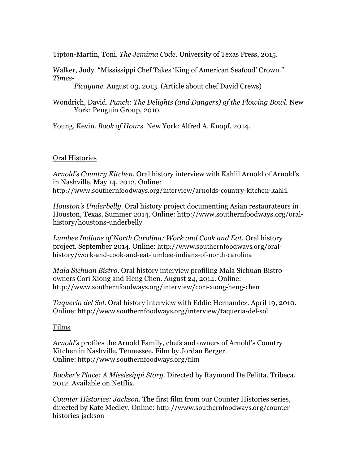Tipton-Martin, Toni. *The Jemima Code.* University of Texas Press, 2015.

Walker, Judy. "Mississippi Chef Takes 'King of American Seafood' Crown." *Times-*

*Picayune.* August 03, 2013. (Article about chef David Crews)

Wondrich, David. *Punch: The Delights (and Dangers) of the Flowing Bowl.* New York: Penguin Group, 2010.

Young, Kevin. *Book of Hours.* New York: Alfred A. Knopf, 2014.

## Oral Histories

*Arnold's Country Kitchen.* Oral history interview with Kahlil Arnold of Arnold's in Nashville. May 14, 2012. Online: http://www.southernfoodways.org/interview/arnolds-country-kitchen-kahlil

*Houston's Underbelly.* Oral history project documenting Asian restaurateurs in Houston, Texas. Summer 2014. Online: http://www.southernfoodways.org/oralhistory/houstons-underbelly

*Lumbee Indians of North Carolina: Work and Cook and Eat.* Oral history project. September 2014. Online: http://www.southernfoodways.org/oralhistory/work-and-cook-and-eat-lumbee-indians-of-north-carolina

*Mala Sichuan Bistro.* Oral history interview profiling Mala Sichuan Bistro owners Cori Xiong and Heng Chen. August 24, 2014. Online: http://www.southernfoodways.org/interview/cori-xiong-heng-chen

*Taqueria del Sol.* Oral history interview with Eddie Hernandez. April 19, 2010. Online: http://www.southernfoodways.org/interview/taqueria-del-sol

## Films

*Arnold's* profiles the Arnold Family, chefs and owners of Arnold's Country Kitchen in Nashville, Tennessee. Film by Jordan Berger. Online: http://www.southernfoodways.org/film

*Booker's Place: A Mississippi Story*. Directed by Raymond De Felitta. Tribeca, 2012. Available on Netflix.

*Counter Histories: Jackson.* The first film from our Counter Histories series, directed by Kate Medley. Online: http://www.southernfoodways.org/counterhistories-jackson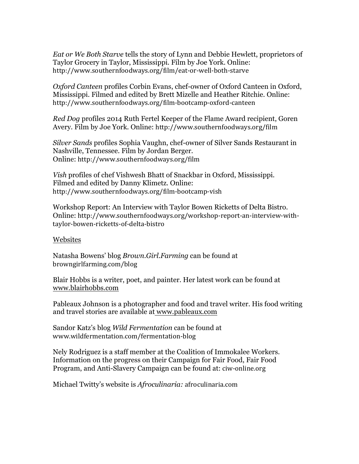*Eat or We Both Starve* tells the story of Lynn and Debbie Hewlett, proprietors of Taylor Grocery in Taylor, Mississippi. Film by Joe York. Online: http://www.southernfoodways.org/film/eat-or-well-both-starve

*Oxford Canteen* profiles Corbin Evans, chef-owner of Oxford Canteen in Oxford, Mississippi. Filmed and edited by Brett Mizelle and Heather Ritchie. Online: http://www.southernfoodways.org/film-bootcamp-oxford-canteen

*Red Dog* profiles 2014 Ruth Fertel Keeper of the Flame Award recipient, Goren Avery. Film by Joe York. Online: http://www.southernfoodways.org/film

*Silver Sands* profiles Sophia Vaughn, chef-owner of Silver Sands Restaurant in Nashville, Tennessee. Film by Jordan Berger. Online: http://www.southernfoodways.org/film

*Vish* profiles of chef Vishwesh Bhatt of Snackbar in Oxford, Mississippi. Filmed and edited by Danny Klimetz. Online: http://www.southernfoodways.org/film-bootcamp-vish

Workshop Report: An Interview with Taylor Bowen Ricketts of Delta Bistro. Online: http://www.southernfoodways.org/workshop-report-an-interview-withtaylor-bowen-ricketts-of-delta-bistro

## Websites

Natasha Bowens' blog *Brown.Girl.Farming* can be found at browngirlfarming.com/blog

Blair Hobbs is a writer, poet, and painter. Her latest work can be found at www.blairhobbs.com

Pableaux Johnson is a photographer and food and travel writer. His food writing and travel stories are available at www.pableaux.com

Sandor Katz's blog *Wild Fermentation* can be found at www.wildfermentation.com/fermentation-blog

Nely Rodriguez is a staff member at the Coalition of Immokalee Workers. Information on the progress on their Campaign for Fair Food, Fair Food Program, and Anti-Slavery Campaign can be found at: ciw-online.org

Michael Twitty's website is *Afroculinaria:* afroculinaria.com